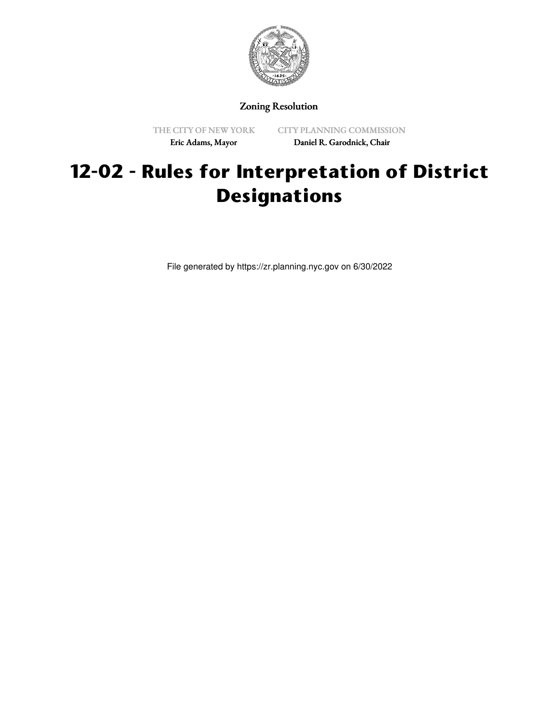

Zoning Resolution

THE CITY OF NEW YORK Eric Adams, Mayor

CITY PLANNING COMMISSION Daniel R. Garodnick, Chair

## **12-02 - Rules for Interpretation of District Designations**

File generated by https://zr.planning.nyc.gov on 6/30/2022